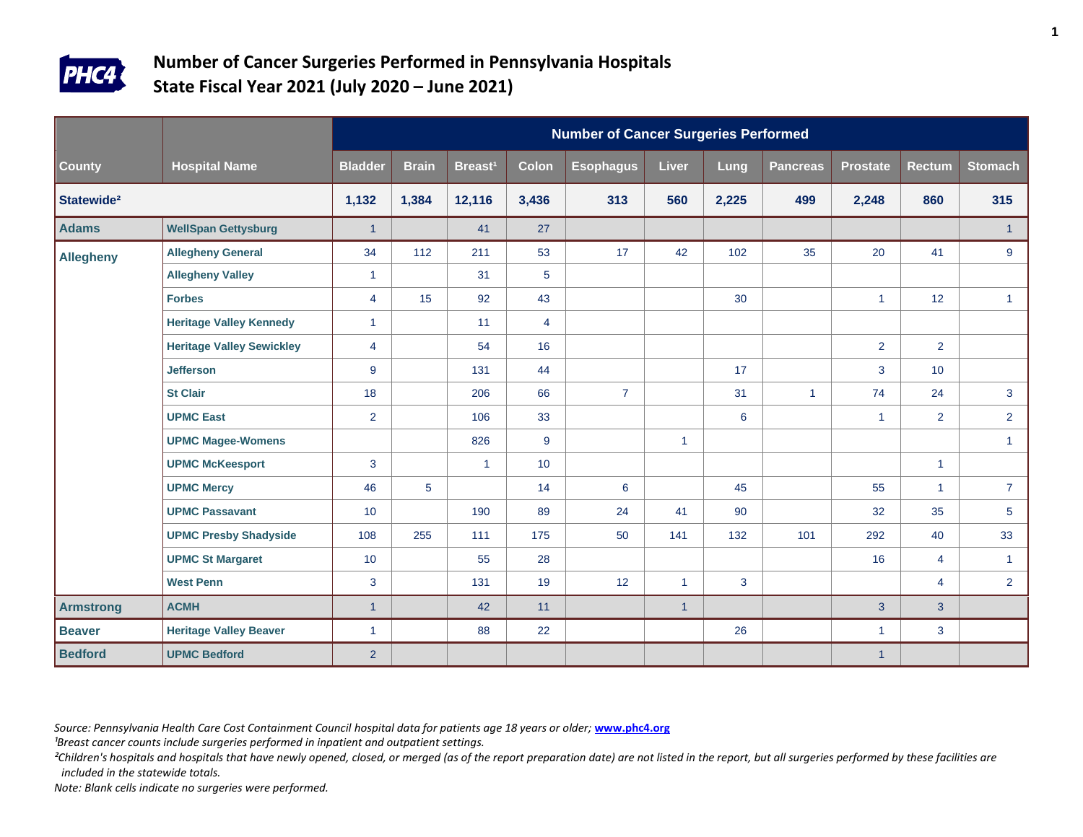

|                        |                                  |                |              |                     |                | <b>Number of Cancer Surgeries Performed</b> |              |       |                 |                      |                |                 |
|------------------------|----------------------------------|----------------|--------------|---------------------|----------------|---------------------------------------------|--------------|-------|-----------------|----------------------|----------------|-----------------|
| County                 | <b>Hospital Name</b>             | <b>Bladder</b> | <b>Brain</b> | Breast <sup>1</sup> | <b>Colon</b>   | <b>Esophagus</b>                            | <b>Liver</b> | Lung  | <b>Pancreas</b> | <b>Prostate</b>      | <b>Rectum</b>  | <b>Stomach</b>  |
| Statewide <sup>2</sup> |                                  | 1,132          | 1,384        | 12,116              | 3,436          | 313                                         | 560          | 2,225 | 499             | 2,248                | 860            | 315             |
| <b>Adams</b>           | <b>WellSpan Gettysburg</b>       | $\overline{1}$ |              | 41                  | 27             |                                             |              |       |                 |                      |                | $\overline{1}$  |
| <b>Allegheny</b>       | <b>Allegheny General</b>         | 34             | 112          | 211                 | 53             | 17                                          | 42           | 102   | 35              | 20                   | 41             | 9               |
|                        | <b>Allegheny Valley</b>          | $\mathbf{1}$   |              | 31                  | 5              |                                             |              |       |                 |                      |                |                 |
|                        | <b>Forbes</b>                    | $\overline{4}$ | 15           | 92                  | 43             |                                             |              | 30    |                 | $\blacktriangleleft$ | 12             | $\mathbf{1}$    |
|                        | <b>Heritage Valley Kennedy</b>   | $\mathbf{1}$   |              | 11                  | $\overline{4}$ |                                             |              |       |                 |                      |                |                 |
|                        | <b>Heritage Valley Sewickley</b> | 4              |              | 54                  | 16             |                                             |              |       |                 | $\overline{2}$       | $\overline{2}$ |                 |
|                        | <b>Jefferson</b>                 | 9              |              | 131                 | 44             |                                             |              | 17    |                 | $\mathbf{3}$         | 10             |                 |
|                        | <b>St Clair</b>                  | 18             |              | 206                 | 66             | $\overline{7}$                              |              | 31    | $\mathbf{1}$    | 74                   | 24             | $\mathbf{3}$    |
|                        | <b>UPMC East</b>                 | $\overline{2}$ |              | 106                 | 33             |                                             |              | 6     |                 | $\mathbf{1}$         | $\overline{2}$ | $2^{\circ}$     |
|                        | <b>UPMC Magee-Womens</b>         |                |              | 826                 | 9              |                                             | $\mathbf{1}$ |       |                 |                      |                | $\mathbf{1}$    |
|                        | <b>UPMC McKeesport</b>           | 3              |              | $\mathbf{1}$        | 10             |                                             |              |       |                 |                      | $\mathbf{1}$   |                 |
|                        | <b>UPMC Mercy</b>                | 46             | 5            |                     | 14             | 6                                           |              | 45    |                 | 55                   | $\mathbf{1}$   | $\overline{7}$  |
|                        | <b>UPMC Passavant</b>            | 10             |              | 190                 | 89             | 24                                          | 41           | 90    |                 | 32                   | 35             | $5\phantom{.0}$ |
|                        | <b>UPMC Presby Shadyside</b>     | 108            | 255          | 111                 | 175            | 50                                          | 141          | 132   | 101             | 292                  | 40             | 33              |
|                        | <b>UPMC St Margaret</b>          | 10             |              | 55                  | 28             |                                             |              |       |                 | 16                   | $\overline{4}$ | $\mathbf{1}$    |
|                        | <b>West Penn</b>                 | 3              |              | 131                 | 19             | 12                                          | $\mathbf{1}$ | 3     |                 |                      | 4              | $2^{\circ}$     |
| <b>Armstrong</b>       | <b>ACMH</b>                      | $\overline{1}$ |              | 42                  | 11             |                                             | $\mathbf{1}$ |       |                 | $\mathbf{3}$         | 3              |                 |
| <b>Beaver</b>          | <b>Heritage Valley Beaver</b>    | $\mathbf{1}$   |              | 88                  | 22             |                                             |              | 26    |                 | $\mathbf{1}$         | 3              |                 |
| <b>Bedford</b>         | <b>UPMC Bedford</b>              | $\overline{2}$ |              |                     |                |                                             |              |       |                 | $\mathbf{1}$         |                |                 |

*Source: Pennsylvania Health Care Cost Containment Council hospital data for patients age 18 years or older;* **[www.phc4.org](http://www.phc4.org/)**

<sup>1</sup>Breast cancer counts include surgeries performed in inpatient and outpatient settings.

<sup>2</sup>Children's hospitals and hospitals that have newly opened, closed, or merged (as of the report preparation date) are not listed in the report, but all surgeries performed by these facilities are *included in the statewide totals.*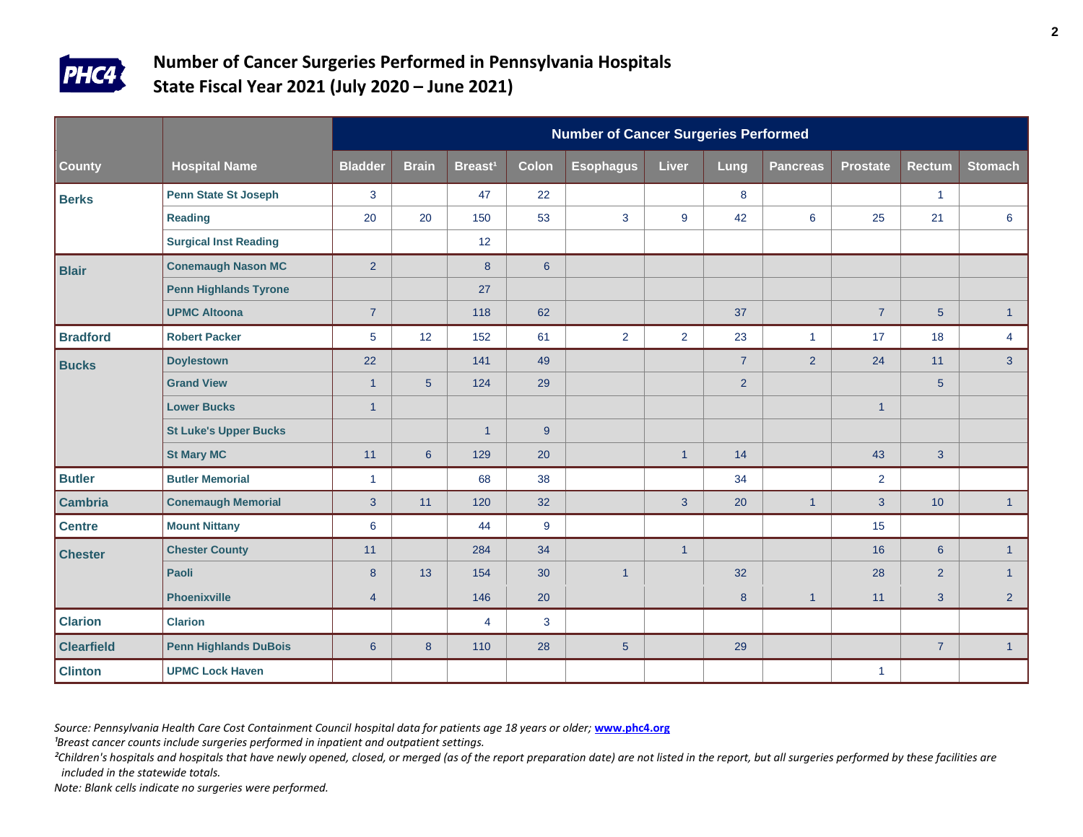

|                   |                              |                  |                 |                     |                | <b>Number of Cancer Surgeries Performed</b> |                |                |                 |                      |                |                |
|-------------------|------------------------------|------------------|-----------------|---------------------|----------------|---------------------------------------------|----------------|----------------|-----------------|----------------------|----------------|----------------|
| County            | <b>Hospital Name</b>         | <b>Bladder</b>   | <b>Brain</b>    | Breast <sup>1</sup> | <b>Colon</b>   | <b>Esophagus</b>                            | Liver          | Lung           | <b>Pancreas</b> | <b>Prostate</b>      | <b>Rectum</b>  | <b>Stomach</b> |
| <b>Berks</b>      | <b>Penn State St Joseph</b>  | 3                |                 | 47                  | 22             |                                             |                | 8              |                 |                      | $\mathbf{1}$   |                |
|                   | <b>Reading</b>               | 20               | 20              | 150                 | 53             | 3                                           | 9              | 42             | $6\phantom{1}$  | 25                   | 21             | $6\phantom{1}$ |
|                   | <b>Surgical Inst Reading</b> |                  |                 | 12 <sup>°</sup>     |                |                                             |                |                |                 |                      |                |                |
| <b>Blair</b>      | <b>Conemaugh Nason MC</b>    | $\overline{2}$   |                 | 8                   | $6\phantom{1}$ |                                             |                |                |                 |                      |                |                |
|                   | <b>Penn Highlands Tyrone</b> |                  |                 | 27                  |                |                                             |                |                |                 |                      |                |                |
|                   | <b>UPMC Altoona</b>          | $\overline{7}$   |                 | 118                 | 62             |                                             |                | 37             |                 | $\overline{7}$       | 5              | $\mathbf{1}$   |
| <b>Bradford</b>   | <b>Robert Packer</b>         | 5                | 12              | 152                 | 61             | $\overline{2}$                              | $\overline{2}$ | 23             | $\mathbf{1}$    | 17                   | 18             | $\overline{4}$ |
| <b>Bucks</b>      | <b>Doylestown</b>            | 22               |                 | 141                 | 49             |                                             |                | $\overline{7}$ | 2               | 24                   | 11             | 3              |
|                   | <b>Grand View</b>            | $\mathbf{1}$     | $5\phantom{.0}$ | 124                 | 29             |                                             |                | $\overline{2}$ |                 |                      | $\sqrt{5}$     |                |
|                   | <b>Lower Bucks</b>           | $\overline{1}$   |                 |                     |                |                                             |                |                |                 | $\overline{1}$       |                |                |
|                   | <b>St Luke's Upper Bucks</b> |                  |                 | $\mathbf{1}$        | 9              |                                             |                |                |                 |                      |                |                |
|                   | <b>St Mary MC</b>            | 11               | $6\phantom{1}$  | 129                 | 20             |                                             | $\mathbf{1}$   | 14             |                 | 43                   | 3 <sup>5</sup> |                |
| <b>Butler</b>     | <b>Butler Memorial</b>       | $\mathbf{1}$     |                 | 68                  | 38             |                                             |                | 34             |                 | $\overline{2}$       |                |                |
| <b>Cambria</b>    | <b>Conemaugh Memorial</b>    | $\overline{3}$   | 11              | 120                 | 32             |                                             | $\overline{3}$ | 20             | $\overline{1}$  | 3                    | 10             | 1              |
| <b>Centre</b>     | <b>Mount Nittany</b>         | $\boldsymbol{6}$ |                 | 44                  | 9              |                                             |                |                |                 | 15                   |                |                |
| <b>Chester</b>    | <b>Chester County</b>        | 11               |                 | 284                 | 34             |                                             | $\mathbf{1}$   |                |                 | 16                   | $6\phantom{a}$ | 1              |
|                   | Paoli                        | 8                | 13              | 154                 | 30             | $\overline{1}$                              |                | 32             |                 | 28                   | $\overline{2}$ | $\mathbf{1}$   |
|                   | <b>Phoenixville</b>          | 4                |                 | 146                 | 20             |                                             |                | 8              | $\mathbf{1}$    | 11                   | 3              | 2 <sup>1</sup> |
| <b>Clarion</b>    | <b>Clarion</b>               |                  |                 | 4                   | 3              |                                             |                |                |                 |                      |                |                |
| <b>Clearfield</b> | <b>Penn Highlands DuBois</b> | $6\overline{6}$  | 8               | 110                 | 28             | $5\phantom{.0}$                             |                | 29             |                 |                      | $\overline{7}$ | 1              |
| <b>Clinton</b>    | <b>UPMC Lock Haven</b>       |                  |                 |                     |                |                                             |                |                |                 | $\blacktriangleleft$ |                |                |

*Source: Pennsylvania Health Care Cost Containment Council hospital data for patients age 18 years or older;* **[www.phc4.org](http://www.phc4.org/)**

<sup>1</sup>Breast cancer counts include surgeries performed in inpatient and outpatient settings.

<sup>2</sup>Children's hospitals and hospitals that have newly opened, closed, or merged (as of the report preparation date) are not listed in the report, but all surgeries performed by these facilities are *included in the statewide totals.*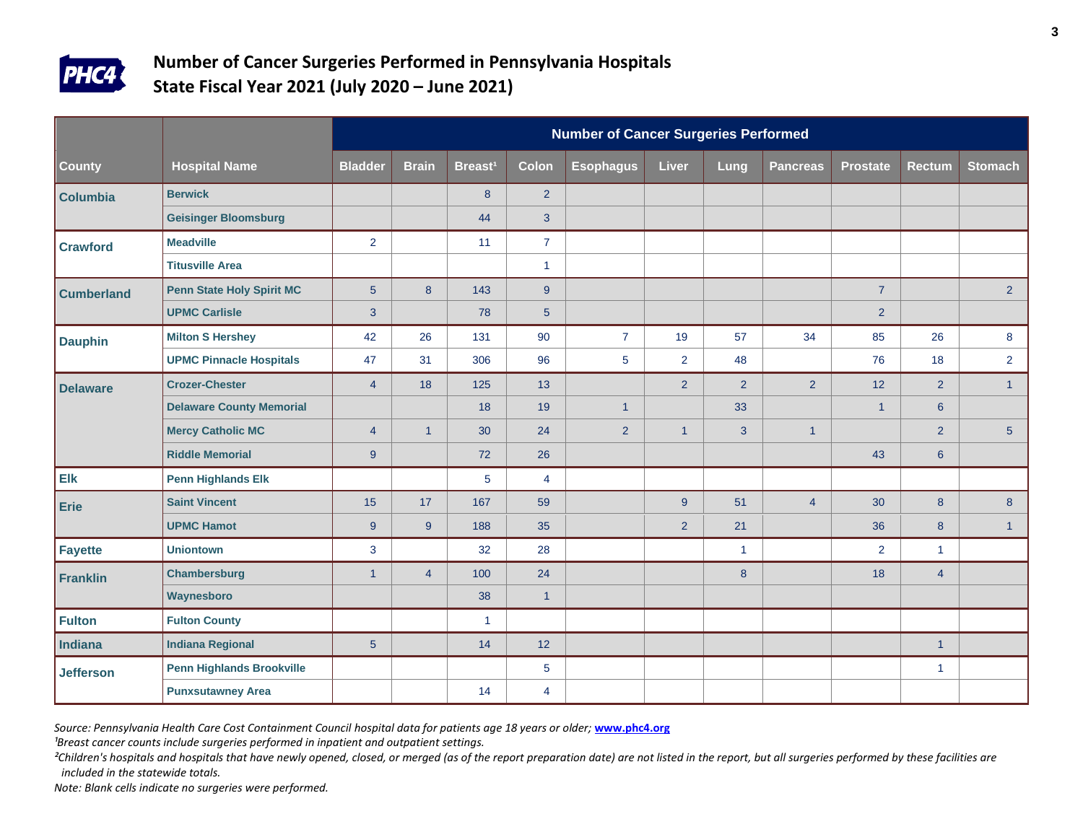

|                   |                                  |                | <b>Number of Cancer Surgeries Performed</b> |                     |                |                  |                |                      |                 |                 |                |                |  |  |  |
|-------------------|----------------------------------|----------------|---------------------------------------------|---------------------|----------------|------------------|----------------|----------------------|-----------------|-----------------|----------------|----------------|--|--|--|
| County            | <b>Hospital Name</b>             | <b>Bladder</b> | <b>Brain</b>                                | Breast <sup>1</sup> | <b>Colon</b>   | <b>Esophagus</b> | Liver          | Lung                 | <b>Pancreas</b> | <b>Prostate</b> | <b>Rectum</b>  | <b>Stomach</b> |  |  |  |
| <b>Columbia</b>   | <b>Berwick</b>                   |                |                                             | 8                   | $\overline{2}$ |                  |                |                      |                 |                 |                |                |  |  |  |
|                   | <b>Geisinger Bloomsburg</b>      |                |                                             | 44                  | 3              |                  |                |                      |                 |                 |                |                |  |  |  |
| <b>Crawford</b>   | <b>Meadville</b>                 | 2              |                                             | 11                  | $\overline{7}$ |                  |                |                      |                 |                 |                |                |  |  |  |
|                   | <b>Titusville Area</b>           |                |                                             |                     | $\overline{1}$ |                  |                |                      |                 |                 |                |                |  |  |  |
| <b>Cumberland</b> | <b>Penn State Holy Spirit MC</b> | $5\phantom{.}$ | 8                                           | 143                 | 9              |                  |                |                      |                 | $\overline{7}$  |                | 2 <sup>2</sup> |  |  |  |
|                   | <b>UPMC Carlisle</b>             | 3              |                                             | 78                  | 5              |                  |                |                      |                 | $\overline{2}$  |                |                |  |  |  |
| <b>Dauphin</b>    | <b>Milton S Hershey</b>          | 42             | 26                                          | 131                 | 90             | $\overline{7}$   | 19             | 57                   | 34              | 85              | 26             | 8              |  |  |  |
|                   | <b>UPMC Pinnacle Hospitals</b>   | 47             | 31                                          | 306                 | 96             | 5                | $\overline{2}$ | 48                   |                 | 76              | 18             | $\overline{2}$ |  |  |  |
| <b>Delaware</b>   | <b>Crozer-Chester</b>            | $\overline{4}$ | 18                                          | 125                 | 13             |                  | $\overline{2}$ | $\overline{2}$       | 2               | 12              | $\overline{2}$ | 1              |  |  |  |
|                   | <b>Delaware County Memorial</b>  |                |                                             | 18                  | 19             | $\mathbf{1}$     |                | 33                   |                 | $\mathbf{1}$    | $6\phantom{a}$ |                |  |  |  |
|                   | <b>Mercy Catholic MC</b>         | $\overline{4}$ | $\overline{1}$                              | 30                  | 24             | 2 <sup>1</sup>   | $\mathbf{1}$   | $\overline{3}$       | $\mathbf{1}$    |                 | $\overline{2}$ | 5 <sup>5</sup> |  |  |  |
|                   | <b>Riddle Memorial</b>           | $9^{\circ}$    |                                             | 72                  | 26             |                  |                |                      |                 | 43              | $6\phantom{1}$ |                |  |  |  |
| Elk               | <b>Penn Highlands Elk</b>        |                |                                             | 5                   | $\overline{4}$ |                  |                |                      |                 |                 |                |                |  |  |  |
| <b>Erie</b>       | <b>Saint Vincent</b>             | 15             | 17                                          | 167                 | 59             |                  | 9              | 51                   | $\overline{4}$  | 30              | 8              | 8              |  |  |  |
|                   | <b>UPMC Hamot</b>                | 9              | 9                                           | 188                 | 35             |                  | $\overline{2}$ | 21                   |                 | 36              | 8              | $\mathbf{1}$   |  |  |  |
| <b>Fayette</b>    | <b>Uniontown</b>                 | 3              |                                             | 32                  | 28             |                  |                | $\blacktriangleleft$ |                 | 2               | $\mathbf{1}$   |                |  |  |  |
| Franklin          | <b>Chambersburg</b>              | $\mathbf{1}$   | $\overline{4}$                              | 100                 | 24             |                  |                | 8                    |                 | 18              | $\overline{4}$ |                |  |  |  |
|                   | Waynesboro                       |                |                                             | 38                  | $\overline{1}$ |                  |                |                      |                 |                 |                |                |  |  |  |
| <b>Fulton</b>     | <b>Fulton County</b>             |                |                                             | $\mathbf{1}$        |                |                  |                |                      |                 |                 |                |                |  |  |  |
| Indiana           | <b>Indiana Regional</b>          | $\overline{5}$ |                                             | 14                  | 12             |                  |                |                      |                 |                 | $\mathbf{1}$   |                |  |  |  |
| <b>Jefferson</b>  | <b>Penn Highlands Brookville</b> |                |                                             |                     | 5              |                  |                |                      |                 |                 | $\mathbf{1}$   |                |  |  |  |
|                   | <b>Punxsutawney Area</b>         |                |                                             | 14                  | 4              |                  |                |                      |                 |                 |                |                |  |  |  |

*Source: Pennsylvania Health Care Cost Containment Council hospital data for patients age 18 years or older;* **[www.phc4.org](http://www.phc4.org/)**

<sup>1</sup>Breast cancer counts include surgeries performed in inpatient and outpatient settings.

<sup>2</sup>Children's hospitals and hospitals that have newly opened, closed, or merged (as of the report preparation date) are not listed in the report, but all surgeries performed by these facilities are *included in the statewide totals.*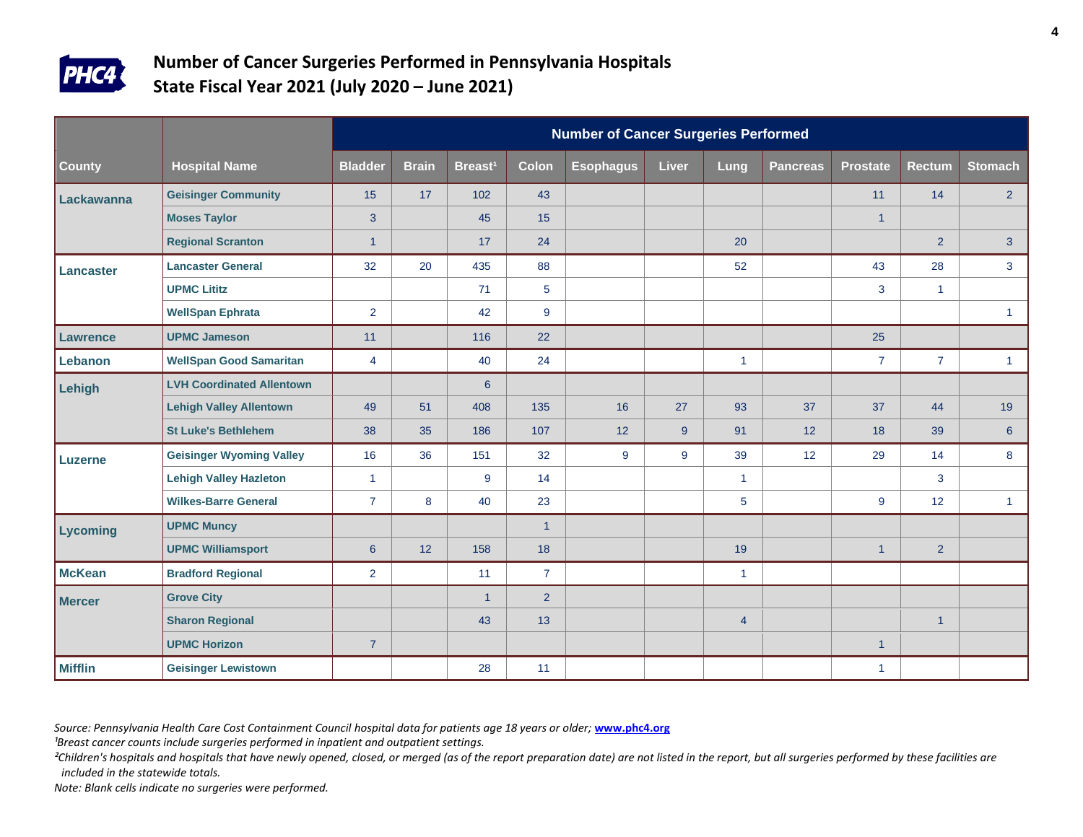

|                 |                                  | <b>Number of Cancer Surgeries Performed</b> |              |                     |                |                  |              |                      |                 |                 |                |                |  |  |
|-----------------|----------------------------------|---------------------------------------------|--------------|---------------------|----------------|------------------|--------------|----------------------|-----------------|-----------------|----------------|----------------|--|--|
| <b>County</b>   | <b>Hospital Name</b>             | <b>Bladder</b>                              | <b>Brain</b> | Breast <sup>1</sup> | <b>Colon</b>   | <b>Esophagus</b> | <b>Liver</b> | Lung                 | <b>Pancreas</b> | <b>Prostate</b> | <b>Rectum</b>  | <b>Stomach</b> |  |  |
| Lackawanna      | <b>Geisinger Community</b>       | 15                                          | 17           | 102                 | 43             |                  |              |                      |                 | 11              | 14             | 2 <sup>1</sup> |  |  |
|                 | <b>Moses Taylor</b>              | 3                                           |              | 45                  | 15             |                  |              |                      |                 | $\overline{1}$  |                |                |  |  |
|                 | <b>Regional Scranton</b>         | $\mathbf{1}$                                |              | 17                  | 24             |                  |              | 20                   |                 |                 | $\overline{2}$ | 3 <sup>1</sup> |  |  |
| Lancaster       | <b>Lancaster General</b>         | 32                                          | 20           | 435                 | 88             |                  |              | 52                   |                 | 43              | 28             | 3 <sup>1</sup> |  |  |
|                 | <b>UPMC Lititz</b>               |                                             |              | 71                  | 5              |                  |              |                      |                 | 3               | $\mathbf{1}$   |                |  |  |
|                 | <b>WellSpan Ephrata</b>          | $\overline{2}$                              |              | 42                  | 9              |                  |              |                      |                 |                 |                | $\mathbf{1}$   |  |  |
| <b>Lawrence</b> | <b>UPMC Jameson</b>              | 11                                          |              | 116                 | 22             |                  |              |                      |                 | 25              |                |                |  |  |
| Lebanon         | <b>WellSpan Good Samaritan</b>   | $\overline{4}$                              |              | 40                  | 24             |                  |              | $\mathbf{1}$         |                 | $\overline{7}$  | $\overline{7}$ | $\mathbf{1}$   |  |  |
| Lehigh          | <b>LVH Coordinated Allentown</b> |                                             |              | $6\phantom{1}$      |                |                  |              |                      |                 |                 |                |                |  |  |
|                 | <b>Lehigh Valley Allentown</b>   | 49                                          | 51           | 408                 | 135            | 16               | 27           | 93                   | 37              | 37              | 44             | 19             |  |  |
|                 | <b>St Luke's Bethlehem</b>       | 38                                          | 35           | 186                 | 107            | 12               | 9            | 91                   | 12              | 18              | 39             | 6 <sup>°</sup> |  |  |
| Luzerne         | <b>Geisinger Wyoming Valley</b>  | 16                                          | 36           | 151                 | 32             | 9                | 9            | 39                   | 12              | 29              | 14             | 8              |  |  |
|                 | <b>Lehigh Valley Hazleton</b>    | $\overline{1}$                              |              | 9                   | 14             |                  |              | $\blacktriangleleft$ |                 |                 | 3              |                |  |  |
|                 | <b>Wilkes-Barre General</b>      | $\overline{7}$                              | $\bf 8$      | 40                  | 23             |                  |              | $\overline{5}$       |                 | 9               | 12             | $\mathbf{1}$   |  |  |
| Lycoming        | <b>UPMC Muncy</b>                |                                             |              |                     | $\mathbf{1}$   |                  |              |                      |                 |                 |                |                |  |  |
|                 | <b>UPMC Williamsport</b>         | $\boldsymbol{6}$                            | 12           | 158                 | 18             |                  |              | 19                   |                 | $\mathbf{1}$    | $\overline{2}$ |                |  |  |
| <b>McKean</b>   | <b>Bradford Regional</b>         | $\overline{2}$                              |              | 11                  | $\overline{7}$ |                  |              | $\mathbf{1}$         |                 |                 |                |                |  |  |
| Mercer          | <b>Grove City</b>                |                                             |              | $\mathbf 1$         | 2 <sup>1</sup> |                  |              |                      |                 |                 |                |                |  |  |
|                 | <b>Sharon Regional</b>           |                                             |              | 43                  | 13             |                  |              | $\overline{4}$       |                 |                 | $\mathbf{1}$   |                |  |  |
|                 | <b>UPMC Horizon</b>              | $\overline{7}$                              |              |                     |                |                  |              |                      |                 | $\mathbf{1}$    |                |                |  |  |
| <b>Mifflin</b>  | <b>Geisinger Lewistown</b>       |                                             |              | 28                  | 11             |                  |              |                      |                 | $\mathbf{1}$    |                |                |  |  |

*Source: Pennsylvania Health Care Cost Containment Council hospital data for patients age 18 years or older;* **[www.phc4.org](http://www.phc4.org/)**

<sup>1</sup>Breast cancer counts include surgeries performed in inpatient and outpatient settings.

<sup>2</sup>Children's hospitals and hospitals that have newly opened, closed, or merged (as of the report preparation date) are not listed in the report, but all surgeries performed by these facilities are *included in the statewide totals.*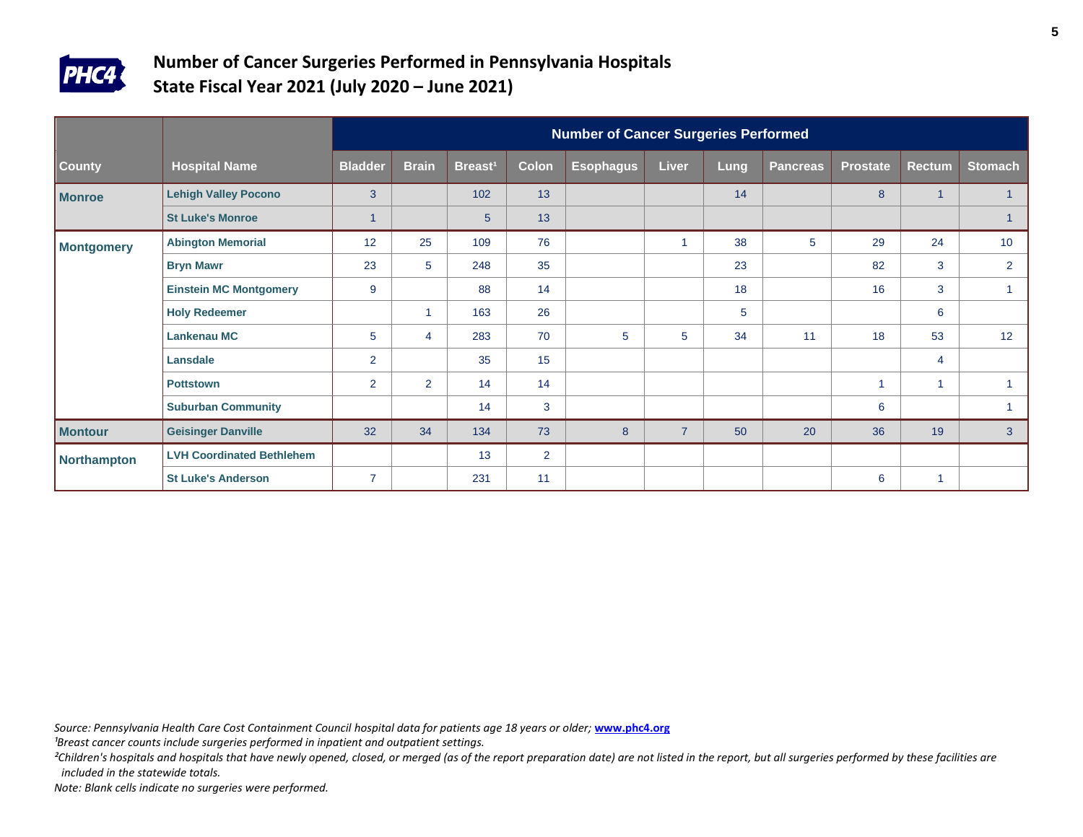

|               |                                  |                |                |                     |                | <b>Number of Cancer Surgeries Performed</b> |                |      |                 |                 |                |                 |
|---------------|----------------------------------|----------------|----------------|---------------------|----------------|---------------------------------------------|----------------|------|-----------------|-----------------|----------------|-----------------|
| <b>County</b> | <b>Hospital Name</b>             | <b>Bladder</b> | <b>Brain</b>   | Breast <sup>1</sup> | <b>Colon</b>   | <b>Esophagus</b>                            | <b>Liver</b>   | Lung | <b>Pancreas</b> | <b>Prostate</b> | <b>Rectum</b>  | <b>Stomach</b>  |
| <b>Monroe</b> | <b>Lehigh Valley Pocono</b>      | 3              |                | 102                 | 13             |                                             |                | 14   |                 | 8               | $\mathbf{1}$   |                 |
|               | <b>St Luke's Monroe</b>          | 1              |                | $5\phantom{1}$      | 13             |                                             |                |      |                 |                 |                |                 |
| Montgomery    | <b>Abington Memorial</b>         | 12             | 25             | 109                 | 76             |                                             |                | 38   | 5               | 29              | 24             | 10 <sup>°</sup> |
|               | <b>Bryn Mawr</b>                 | 23             | 5              | 248                 | 35             |                                             |                | 23   |                 | 82              | 3              | $\overline{2}$  |
|               | <b>Einstein MC Montgomery</b>    | 9              |                | 88                  | 14             |                                             |                | 18   |                 | 16              | 3              |                 |
|               | <b>Holy Redeemer</b>             |                | 1              | 163                 | 26             |                                             |                | 5    |                 |                 | 6              |                 |
|               | Lankenau MC                      | 5              | 4              | 283                 | 70             | 5                                           | 5              | 34   | 11              | 18              | 53             | 12              |
|               | Lansdale                         | $\overline{2}$ |                | 35                  | 15             |                                             |                |      |                 |                 | $\overline{4}$ |                 |
|               | <b>Pottstown</b>                 | $\overline{2}$ | $\overline{2}$ | 14                  | 14             |                                             |                |      |                 |                 | 1              |                 |
|               | <b>Suburban Community</b>        |                |                | 14                  | 3              |                                             |                |      |                 | 6               |                |                 |
| Montour       | <b>Geisinger Danville</b>        | 32             | 34             | 134                 | 73             | 8                                           | $\overline{7}$ | 50   | 20              | 36              | 19             | $\mathbf{3}$    |
| Northampton   | <b>LVH Coordinated Bethlehem</b> |                |                | 13                  | $\overline{2}$ |                                             |                |      |                 |                 |                |                 |
|               | <b>St Luke's Anderson</b>        | $\overline{7}$ |                | 231                 | 11             |                                             |                |      |                 | 6               | 1              |                 |

*Source: Pennsylvania Health Care Cost Containment Council hospital data for patients age 18 years or older;* **[www.phc4.org](http://www.phc4.org/)**

<sup>1</sup>Breast cancer counts include surgeries performed in inpatient and outpatient settings.

<sup>2</sup>Children's hospitals and hospitals that have newly opened, closed, or merged (as of the report preparation date) are not listed in the report, but all surgeries performed by these facilities are *included in the statewide totals.*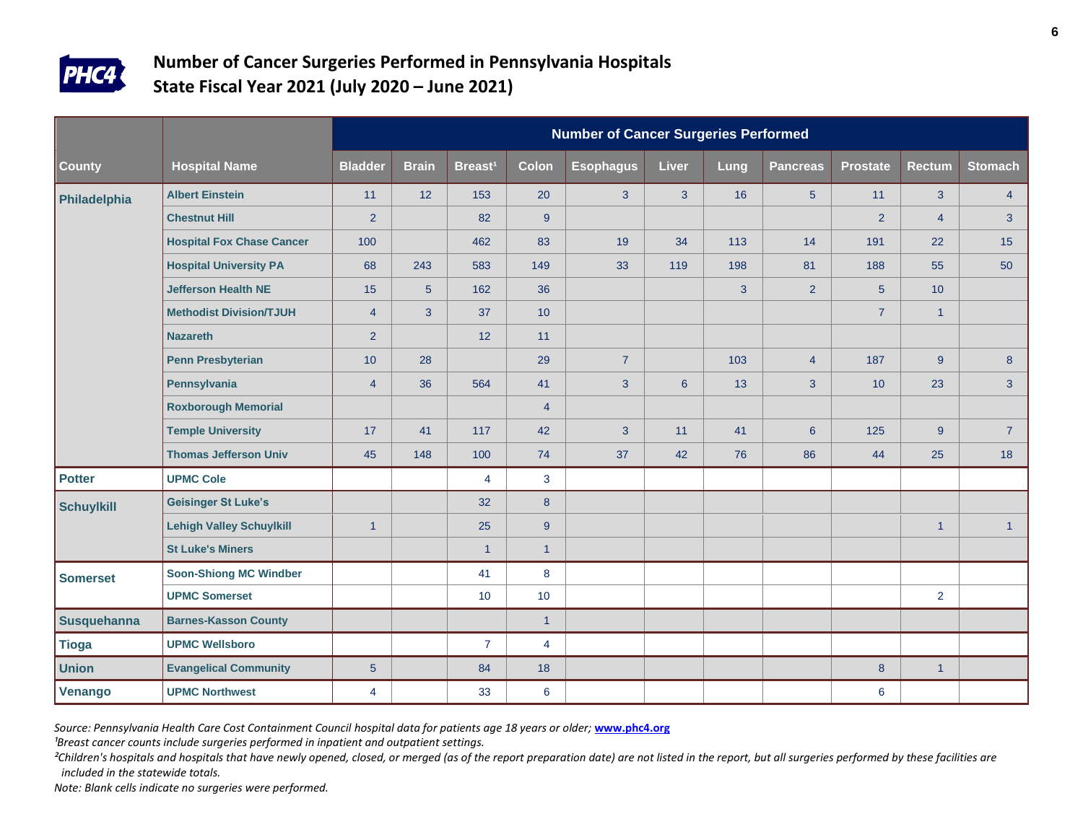

|               |                                  | <b>Number of Cancer Surgeries Performed</b> |                |                     |                  |                  |                |      |                 |                  |                |                |  |  |
|---------------|----------------------------------|---------------------------------------------|----------------|---------------------|------------------|------------------|----------------|------|-----------------|------------------|----------------|----------------|--|--|
| County        | <b>Hospital Name</b>             | <b>Bladder</b>                              | <b>Brain</b>   | Breast <sup>1</sup> | <b>Colon</b>     | <b>Esophagus</b> | <b>Liver</b>   | Lung | <b>Pancreas</b> | <b>Prostate</b>  | <b>Rectum</b>  | <b>Stomach</b> |  |  |
| Philadelphia  | <b>Albert Einstein</b>           | 11                                          | 12             | 153                 | 20               | $\overline{3}$   | 3 <sup>1</sup> | 16   | 5 <sup>5</sup>  | 11               | 3 <sup>1</sup> | $\overline{4}$ |  |  |
|               | <b>Chestnut Hill</b>             | $\overline{2}$                              |                | 82                  | 9                |                  |                |      |                 | 2                | $\overline{4}$ | $\mathbf{3}$   |  |  |
|               | <b>Hospital Fox Chase Cancer</b> | 100                                         |                | 462                 | 83               | 19               | 34             | 113  | 14              | 191              | 22             | 15             |  |  |
|               | <b>Hospital University PA</b>    | 68                                          | 243            | 583                 | 149              | 33               | 119            | 198  | 81              | 188              | 55             | 50             |  |  |
|               | <b>Jefferson Health NE</b>       | 15                                          | $\sqrt{5}$     | 162                 | 36               |                  |                | 3    | 2 <sup>1</sup>  | $5\phantom{.}$   | 10             |                |  |  |
|               | <b>Methodist Division/TJUH</b>   | $\overline{4}$                              | $\overline{3}$ | 37                  | 10               |                  |                |      |                 | $\overline{7}$   | $\mathbf{1}$   |                |  |  |
|               | <b>Nazareth</b>                  | $\overline{2}$                              |                | 12                  | 11               |                  |                |      |                 |                  |                |                |  |  |
|               | <b>Penn Presbyterian</b>         | 10                                          | 28             |                     | 29               | $\overline{7}$   |                | 103  | $\overline{4}$  | 187              | $9^{\circ}$    | 8              |  |  |
|               | Pennsylvania                     | $\overline{4}$                              | 36             | 564                 | 41               | 3                | $6\phantom{1}$ | 13   | 3               | 10               | 23             | $\mathbf{3}$   |  |  |
|               | <b>Roxborough Memorial</b>       |                                             |                |                     | $\overline{4}$   |                  |                |      |                 |                  |                |                |  |  |
|               | <b>Temple University</b>         | 17                                          | 41             | 117                 | 42               | 3                | 11             | 41   | 6 <sup>°</sup>  | 125              | 9              | $\overline{7}$ |  |  |
|               | <b>Thomas Jefferson Univ</b>     | 45                                          | 148            | 100                 | 74               | 37               | 42             | 76   | 86              | 44               | 25             | 18             |  |  |
| <b>Potter</b> | <b>UPMC Cole</b>                 |                                             |                | $\overline{4}$      | $\mathbf{3}$     |                  |                |      |                 |                  |                |                |  |  |
| Schuylkill    | <b>Geisinger St Luke's</b>       |                                             |                | 32                  | $\boldsymbol{8}$ |                  |                |      |                 |                  |                |                |  |  |
|               | <b>Lehigh Valley Schuylkill</b>  | $\overline{1}$                              |                | 25                  | 9                |                  |                |      |                 |                  | $\mathbf{1}$   | $\mathbf{1}$   |  |  |
|               | <b>St Luke's Miners</b>          |                                             |                | $\overline{1}$      | $\overline{1}$   |                  |                |      |                 |                  |                |                |  |  |
| Somerset      | <b>Soon-Shiong MC Windber</b>    |                                             |                | 41                  | 8                |                  |                |      |                 |                  |                |                |  |  |
|               | <b>UPMC Somerset</b>             |                                             |                | 10                  | 10               |                  |                |      |                 |                  | $\overline{2}$ |                |  |  |
| Susquehanna   | <b>Barnes-Kasson County</b>      |                                             |                |                     | $\overline{1}$   |                  |                |      |                 |                  |                |                |  |  |
| <b>Tioga</b>  | <b>UPMC Wellsboro</b>            |                                             |                | $\overline{7}$      | $\overline{4}$   |                  |                |      |                 |                  |                |                |  |  |
| <b>Union</b>  | <b>Evangelical Community</b>     | $\overline{5}$                              |                | 84                  | 18               |                  |                |      |                 | $\boldsymbol{8}$ | $\mathbf{1}$   |                |  |  |
| Venango       | <b>UPMC Northwest</b>            | 4                                           |                | 33                  | 6                |                  |                |      |                 | 6                |                |                |  |  |

*Source: Pennsylvania Health Care Cost Containment Council hospital data for patients age 18 years or older;* **[www.phc4.org](http://www.phc4.org/)**

<sup>1</sup>Breast cancer counts include surgeries performed in inpatient and outpatient settings.

<sup>2</sup>Children's hospitals and hospitals that have newly opened, closed, or merged (as of the report preparation date) are not listed in the report, but all surgeries performed by these facilities are *included in the statewide totals.*